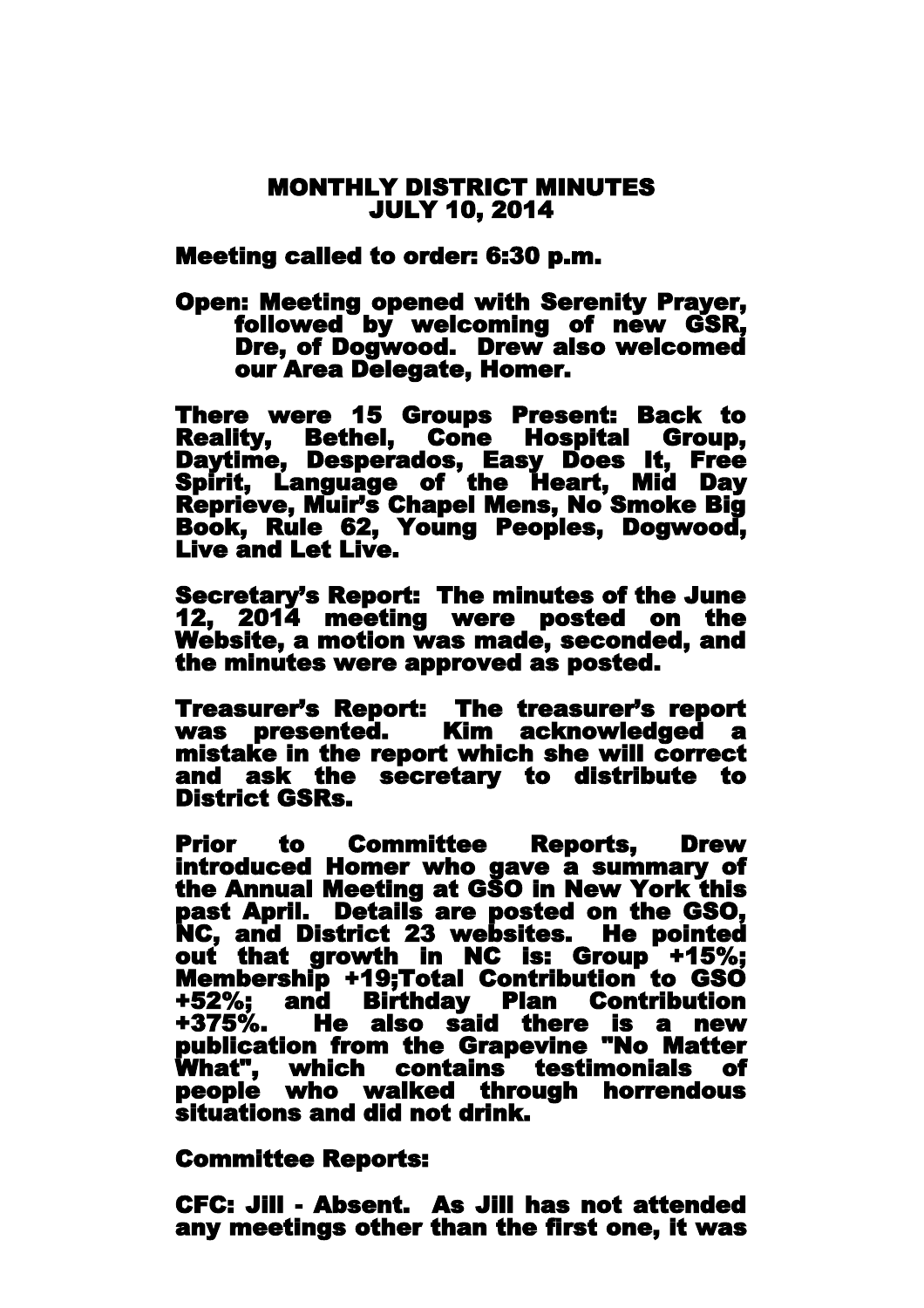## MONTHLY DISTRICT MINUTES JULY 10, 2014

Meeting called to order: 6:30 p.m.

Open: Meeting opened with Serenity Prayer, followed by welcoming of new GSR, Dre, of Dogwood. Drew also welcomed our Area Delegate, Homer.

There were 15 Groups Present: Back to Reality, Bethel, Cone Hospital Group, Daytime, Desperados, Easy Does It, Free Spirit, Language of the Heart, Mid Day Reprieve, Muir's Chapel Mens, No Smoke Big Book, Rule 62, Young Peoples, Dogwood, Live and Let Live.

Secretary's Report: The minutes of the June 12, 2014 meeting were posted on the Website, a motion was made, seconded, and the minutes were approved as posted.

Treasurer's Report: The treasurer's report was presented. Kim acknowledged a mistake in the report which she will correct and ask the secretary to distribute to District GSRs.

Prior to Committee Reports, Drew introduced Homer who gave a summary of the Annual Meeting at GSO in New York this past April. Details are posted on the GSO, NC, and District 23 websites. He pointed out that growth in NC is: Group +15%; Membership +19;Total Contribution to GSO +52%; and Birthday Plan Contribution He also said there is a new publication from the Grapevine "No Matter What" , which contains testimonials of people who walked through horrendous situations and did not drink.

Committee Reports:

CFC: Jill - Absent. As Jill has not attended any meetings other than the first one, it was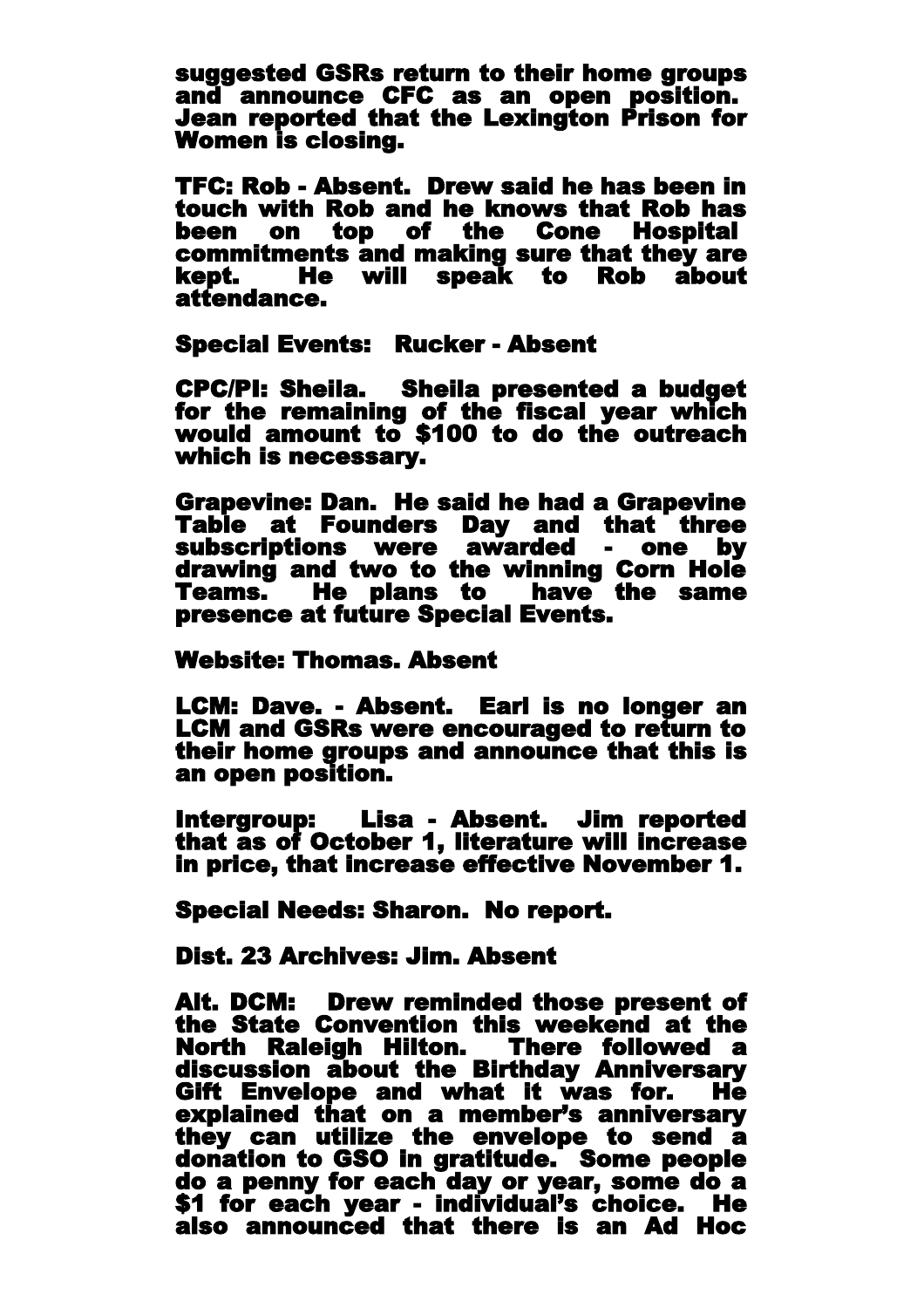suggested GSRs return to their home groups and announce CFC as an open position. Jean reported that the Lexington Prison for Women is closing.

TFC: Rob - Absent. Drew said he has been in touch with Rob and he knows that Rob has been on top of the Cone Hospital commitments and making sure that they are kept. He will speak to Rob about attendance.

Special Events: Rucker - Absent

 CPC/PI: Sheila. Sheila presented a budget for the remaining of the fiscal year which would amount to \$100 to do the outreach which is necessary.

Grapevine: Dan. He said he had a Grapevine Table at Founders Day and that three subscriptions were awarded - one by drawing and two to the winning Corn Hole Teams. He plans to have the same presence at future Special Events.

Website: Thomas. Absent

LCM: Dave. - Absent. Earl is no longer an LCM and GSRs were encouraged to return to their home groups and announce that this is an open position.

Intergroup: Lisa - Absent. Jim reported that as of October 1, literature will increase in price, that increase effective November 1.

Special Needs: Sharon. No report.

Dist. 23 Archives: Jim. Absent

Alt. DCM: Drew reminded those present of the State Convention this weekend at the North Raleigh Hilton. There followed a discussion about the Birthday Anniversary Gift Envelope and what it was for. He explained that on a member's anniversary they can utilize the envelope to send a donation to GSO in gratitude. Some people do a penny for each day or year, some do a \$1 for each year - individual's choice. He also announced that there is an Ad Hoc